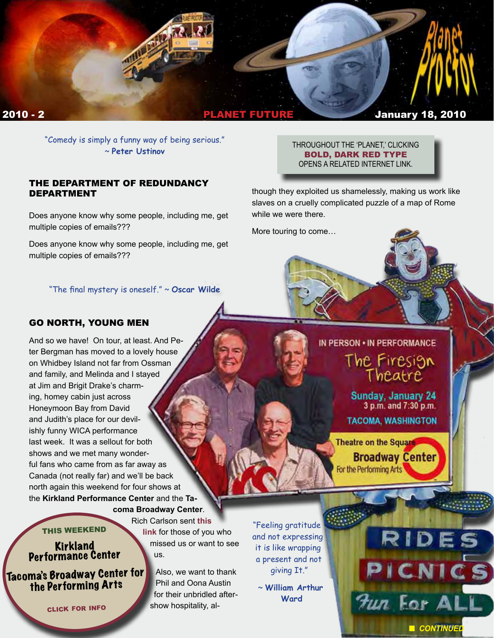

"Comedy is simply a funny way of being serious." ~ **Peter Ustinov** 

#### THE DEPARTMENT OF REDUNDANCY DEPARTMENT

Does anyone know why some people, including me, get multiple copies of emails???

Does anyone know why some people, including me, get multiple copies of emails???

#### "The final mystery is oneself." ~ **Oscar Wilde**

# GO NORTH, YOUNG MEN

And so we have! On tour, at least. And Peter Bergman has moved to a lovely house on Whidbey Island not far from Ossman and family, and Melinda and I stayed at Jim and Brigit Drake's charming, homey cabin just across Honeymoon Bay from David and Judith's place for our devilishly funny WICA performance last week. It was a sellout for both shows and we met many wonderful fans who came from as far away as Canada (not really far) and we'll be back north again this weekend for four shows at the **Kirkland Performance Center** and the **Ta-**

**coma Broadway Center**. Rich Carlson sent **[this](http://www.digital-eel.com/)** 

THIS WEEKEND

Kirkland<br>Performance Center

Tacoma's Broadway Center f[or](http://www.firesigntheatre.com/)  the Performing Arts

click for info

**[link](http://www.digital-eel.com/)** for those of you who missed us or want to see us.

> Also, we want to thank Phil and Oona Austin for their unbridled aftershow hospitality, al-

"Feeling gratitude and not expressing it is like wrapping a present and not giving It."

> ~ **William Arthur Ward**

THROUGHOUT THE 'PLANET,' CLICKING BOLD, DARK RED TYPE OPENS A RELATED INTERNET LINK.

though they exploited us shamelessly, making us work like slaves on a cruelly complicated puzzle of a map of Rome while we were there.

More touring to come…

# IN PERSON . IN PERFORMANCE

The Firesign<br>Theatre

Sunday, January 24 3 p.m. and 7:30 p.m.

**TACOMA, WASHINGTON** 

**Theatre on the Square Broadway Center** For the Performing Arts

**n** CONTINUED

RIDES

PICNICS

Jun For ALL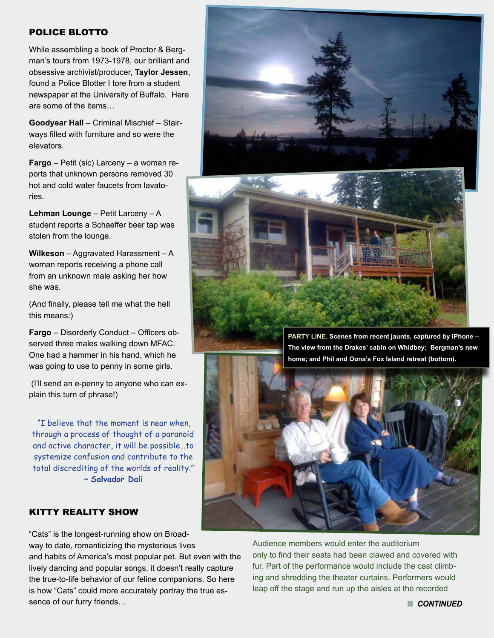#### POLICE BLOTTO

While assembling a book of Proctor & Bergman's tours from 1973-1978, our brilliant and obsessive archivist/producer, **Taylor Jessen**, found a Police Blotter I tore from a student newspaper at the University of Buffalo. Here are some of the items…

**Goodyear Hall** – Criminal Mischief – Stairways filled with furniture and so were the elevators.

**Fargo** – Petit (sic) Larceny – a woman reports that unknown persons removed 30 hot and cold water faucets from lavatories.

**Lehman Lounge** – Petit Larceny – A student reports a Schaeffer beer tap was stolen from the lounge.

**Wilkeson** – Aggravated Harassment – A woman reports receiving a phone call from an unknown male asking her how she was.

(And finally, please tell me what the hell this means:)

**Fargo** – Disorderly Conduct – Officers observed three males walking down MFAC. One had a hammer in his hand, which he was going to use to penny in some girls.

 (I'll send an e-penny to anyone who can explain this turn of phrase!)

 "I believe that the moment is near when, through a process of thought of a paranoid and active character, it will be possible…to systemize confusion and contribute to the total discrediting of the worlds of reality." ~ **Salvador Dali**

# KITTY REALITY SHOW

"Cats" is the longest-running show on Broad-

way to date, romanticizing the mysterious lives and habits of America's most popular pet. But even with the lively dancing and popular songs, it doesn't really capture the true-to-life behavior of our feline companions. So here is how "Cats" could more accurately portray the true essence of our furry friends…

Audience members would enter the auditorium only to find their seats had been clawed and covered with fur. Part of the performance would include the cast climbing and shredding the theater curtains. Performers would leap off the stage and run up the aisles at the recorded





**n** CONTINUED

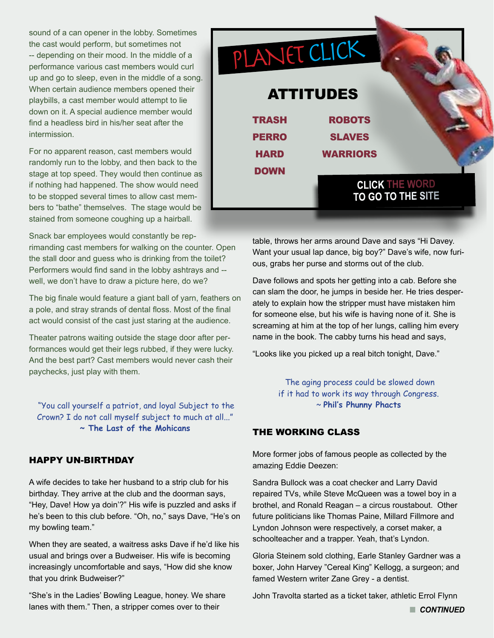sound of a can opener in the lobby. Sometimes the cast would perform, but sometimes not -- depending on their mood. In the middle of a performance various cast members would curl up and go to sleep, even in the middle of a song. When certain audience members opened their playbills, a cast member would attempt to lie down on it. A special audience member would find a headless bird in his/her seat after the intermission.

For no apparent reason, cast members would randomly run to the lobby, and then back to the stage at top speed. They would then continue as if nothing had happened. The show would need to be stopped several times to allow cast members to "bathe" themselves. The stage would be stained from someone coughing up a hairball.

Snack bar employees would constantly be reprimanding cast members for walking on the counter. Open the stall door and guess who is drinking from the toilet? Performers would find sand in the lobby ashtrays and - well, we don't have to draw a picture here, do we?

The big finale would feature a giant ball of yarn, feathers on a pole, and stray strands of dental floss. Most of the final act would consist of the cast just staring at the audience.

Theater patrons waiting outside the stage door after performances would get their legs rubbed, if they were lucky. And the best part? Cast members would never cash their paychecks, just play with them.

 "You call yourself a patriot, and loyal Subject to the Crown? I do not call myself subject to much at all..." **~ The Last of the Mohicans** 

#### HAPPY UN-BIRTHDAY

A wife decides to take her husband to a strip club for his birthday. They arrive at the club and the doorman says, "Hey, Dave! How ya doin'?" His wife is puzzled and asks if he's been to this club before. "Oh, no," says Dave, "He's on my bowling team."

When they are seated, a waitress asks Dave if he'd like his usual and brings over a Budweiser. His wife is becoming increasingly uncomfortable and says, "How did she know that you drink Budweiser?"

"She's in the Ladies' Bowling League, honey. We share lanes with them." Then, a stripper comes over to their



table, throws her arms around Dave and says "Hi Davey. Want your usual lap dance, big boy?" Dave's wife, now furious, grabs her purse and storms out of the club.

Dave follows and spots her getting into a cab. Before she can slam the door, he jumps in beside her. He tries desperately to explain how the stripper must have mistaken him for someone else, but his wife is having none of it. She is screaming at him at the top of her lungs, calling him every name in the book. The cabby turns his head and says,

"Looks like you picked up a real bitch tonight, Dave."

 The aging process could be slowed down if it had to work its way through Congress. ~ **Phil's Phunny Phacts** 

# THE WORKING CLASS

More former jobs of famous people as collected by the amazing Eddie Deezen:

Sandra Bullock was a coat checker and Larry David repaired TVs, while Steve McQueen was a towel boy in a brothel, and Ronald Reagan – a circus roustabout. Other future politicians like Thomas Paine, Millard Fillmore and Lyndon Johnson were respectively, a corset maker, a schoolteacher and a trapper. Yeah, that's Lyndon.

Gloria Steinem sold clothing, Earle Stanley Gardner was a boxer, John Harvey "Cereal King" Kellogg, a surgeon; and famed Western writer Zane Grey - a dentist.

John Travolta started as a ticket taker, athletic Errol Flynn